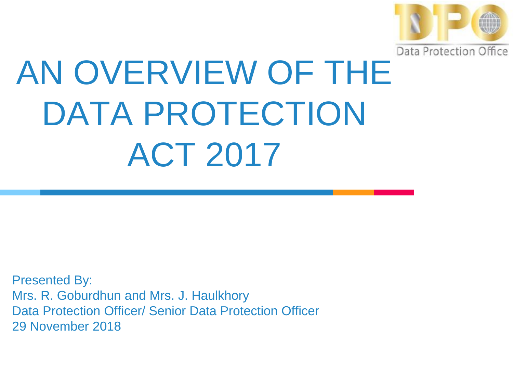

# AN OVERVIEW OF THE DATA PROTECTION ACT 2017

Presented By: Mrs. R. Goburdhun and Mrs. J. Haulkhory Data Protection Officer/ Senior Data Protection Officer 29 November 2018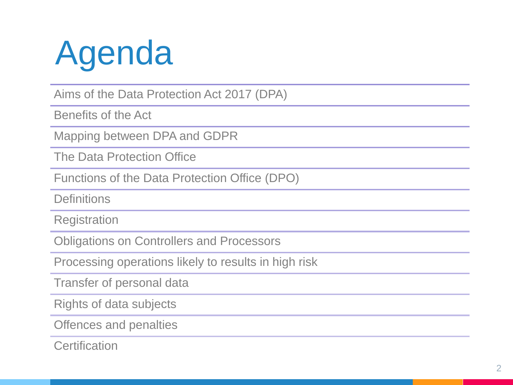

Aims of the Data Protection Act 2017 (DPA)

Benefits of the Act

Mapping between DPA and GDPR

The Data Protection Office

Functions of the Data Protection Office (DPO)

**Definitions** 

**Registration** 

Obligations on Controllers and Processors

Processing operations likely to results in high risk

Transfer of personal data

Rights of data subjects

Offences and penalties

**Certification**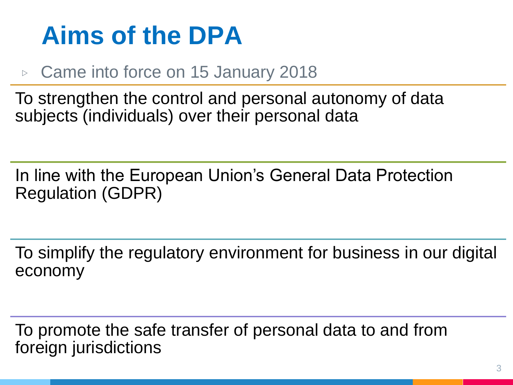#### **Aims of the DPA**

#### ▷ Came into force on 15 January 2018

To strengthen the control and personal autonomy of data subjects (individuals) over their personal data

In line with the European Union's General Data Protection Regulation (GDPR)

To simplify the regulatory environment for business in our digital economy

To promote the safe transfer of personal data to and from foreign jurisdictions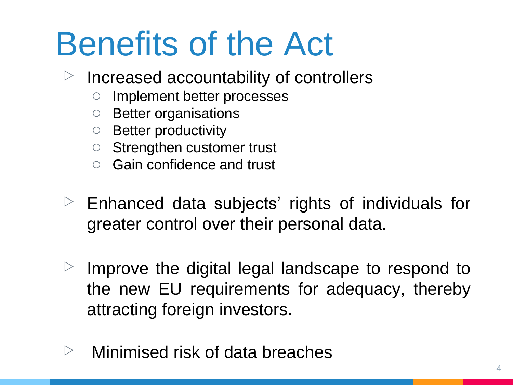# Benefits of the Act

- $\triangleright$  Increased accountability of controllers
	- Implement better processes
	- Better organisations
	- Better productivity
	- Strengthen customer trust
	- Gain confidence and trust
- $\triangleright$  Enhanced data subjects' rights of individuals for greater control over their personal data.
- $\triangleright$  Improve the digital legal landscape to respond to the new EU requirements for adequacy, thereby attracting foreign investors.
- $\triangleright$  Minimised risk of data breaches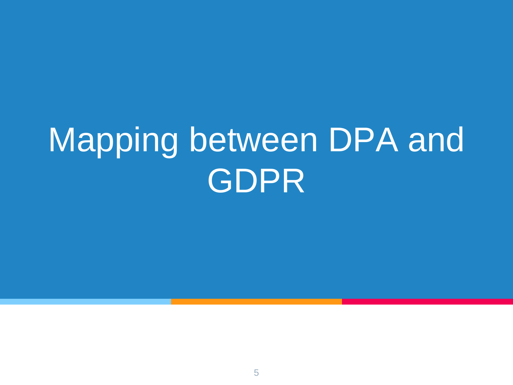# Mapping between DPA and GDPR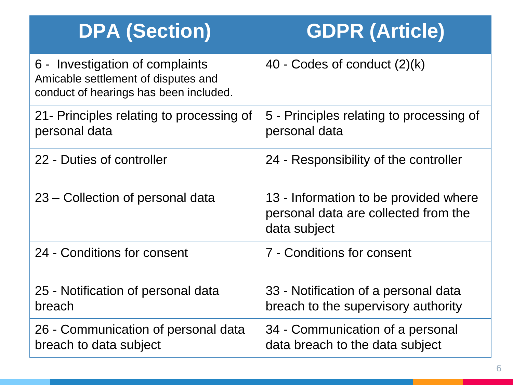| <b>DPA (Section)</b>                                                                                             | <b>GDPR (Article)</b>                                                                         |
|------------------------------------------------------------------------------------------------------------------|-----------------------------------------------------------------------------------------------|
| 6 - Investigation of complaints<br>Amicable settlement of disputes and<br>conduct of hearings has been included. | 40 - Codes of conduct $(2)(k)$                                                                |
| 21- Principles relating to processing of<br>personal data                                                        | 5 - Principles relating to processing of<br>personal data                                     |
| 22 - Duties of controller                                                                                        | 24 - Responsibility of the controller                                                         |
| 23 – Collection of personal data                                                                                 | 13 - Information to be provided where<br>personal data are collected from the<br>data subject |
| 24 - Conditions for consent                                                                                      | 7 - Conditions for consent                                                                    |
| 25 - Notification of personal data<br>breach                                                                     | 33 - Notification of a personal data<br>breach to the supervisory authority                   |
| 26 - Communication of personal data<br>breach to data subject                                                    | 34 - Communication of a personal<br>data breach to the data subject                           |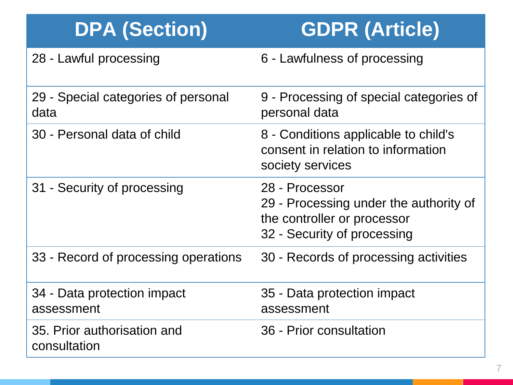#### **DPA (Section) GDPR (Article)**

28 - Lawful processing **6 - Lawfulness of processing** 

| 29 - Special categories of personal<br>data | 9 - Processing of special categories of<br>personal data                                                               |
|---------------------------------------------|------------------------------------------------------------------------------------------------------------------------|
| 30 - Personal data of child                 | 8 - Conditions applicable to child's<br>consent in relation to information<br>society services                         |
| 31 - Security of processing                 | 28 - Processor<br>29 - Processing under the authority of<br>the controller or processor<br>32 - Security of processing |
| 33 - Record of processing operations        | 30 - Records of processing activities                                                                                  |
| 34 - Data protection impact<br>assessment   | 35 - Data protection impact<br>assessment                                                                              |
| 35. Prior authorisation and<br>consultation | 36 - Prior consultation                                                                                                |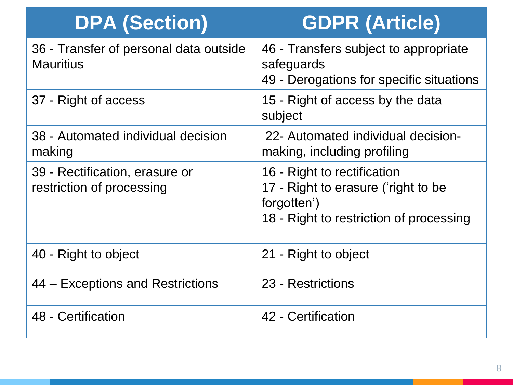| <b>DPA (Section)</b>                                        | <b>GDPR (Article)</b>                                                                                                        |
|-------------------------------------------------------------|------------------------------------------------------------------------------------------------------------------------------|
| 36 - Transfer of personal data outside<br><b>Mauritius</b>  | 46 - Transfers subject to appropriate<br>safeguards<br>49 - Derogations for specific situations                              |
| 37 - Right of access                                        | 15 - Right of access by the data<br>subject                                                                                  |
| 38 - Automated individual decision<br>making                | 22- Automated individual decision-<br>making, including profiling                                                            |
| 39 - Rectification, erasure or<br>restriction of processing | 16 - Right to rectification<br>17 - Right to erasure ('right to be<br>forgotten')<br>18 - Right to restriction of processing |
| 40 - Right to object                                        | 21 - Right to object                                                                                                         |
| 44 – Exceptions and Restrictions                            | 23 - Restrictions                                                                                                            |
| 48 - Certification                                          | 42 - Certification                                                                                                           |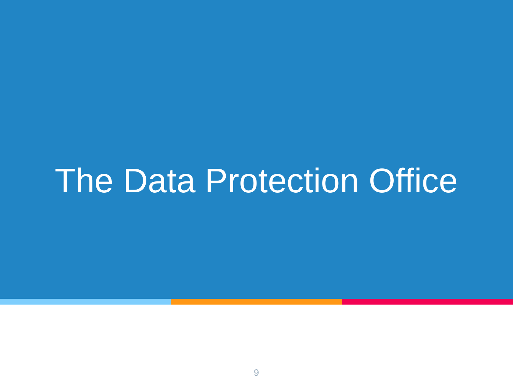### The Data Protection Office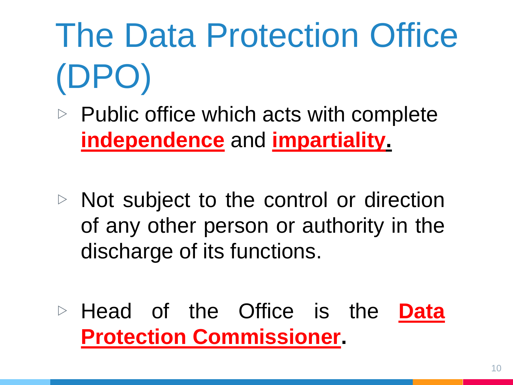# The Data Protection Office (DPO)

- $\triangleright$  Public office which acts with complete **independence** and **impartiality.**
- ▷ Not subject to the control or direction of any other person or authority in the discharge of its functions.
- ▷ Head of the Office is the **Data Protection Commissioner.**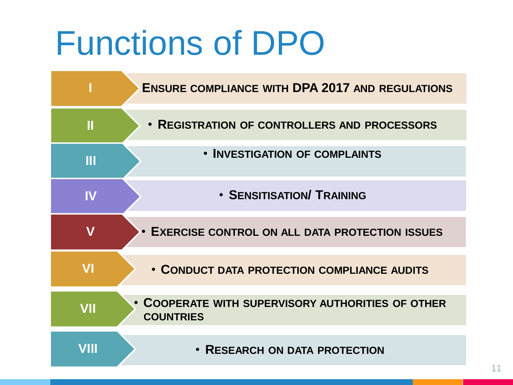# Functions of DPO

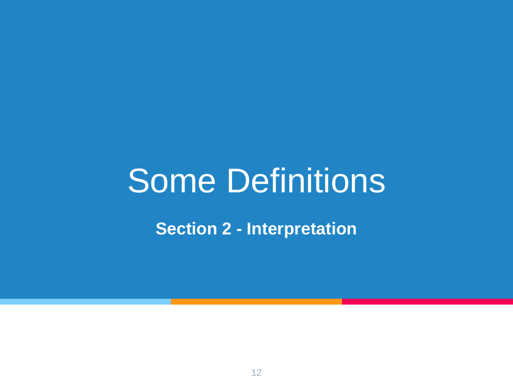### Some Definitions

**Section 2 - Interpretation**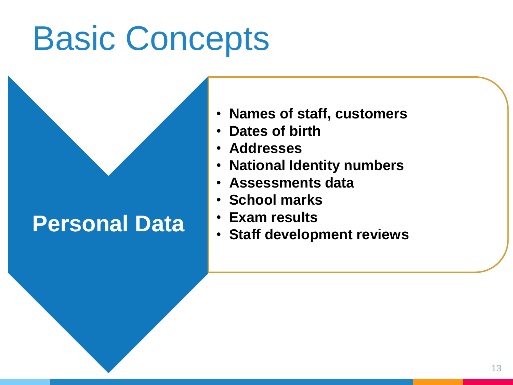# Basic Concepts

#### **Personal Data**

- **Names of staff, customers**
- **Dates of birth**
- **Addresses**
- **National Identity numbers**
- **Assessments data**
- **School marks**
- **Exam results**
- **Staff development reviews**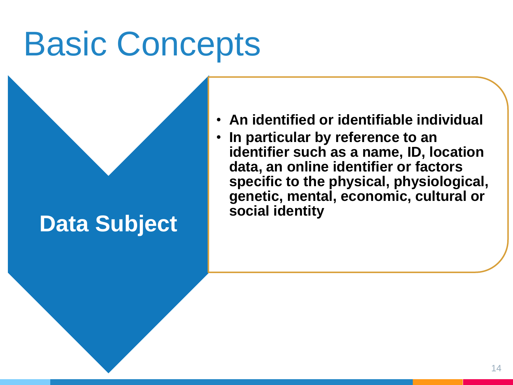# Basic Concepts

#### **Data Subject**

- **An identified or identifiable individual**
- **In particular by reference to an identifier such as a name, ID, location data, an online identifier or factors specific to the physical, physiological, genetic, mental, economic, cultural or social identity**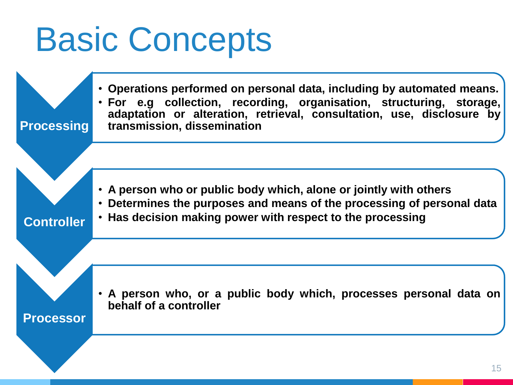# Basic Concepts

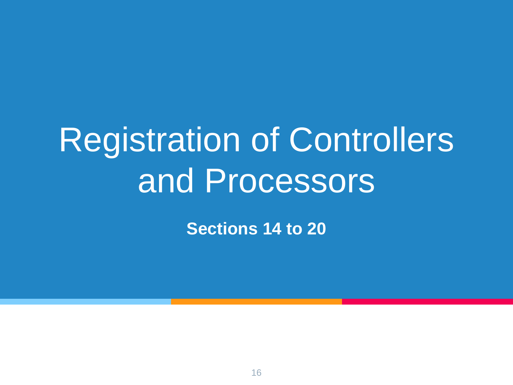# Registration of Controllers and Processors

**Sections 14 to 20**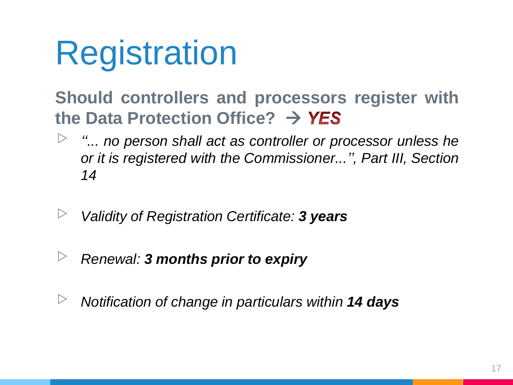# Registration

#### **Should controllers and processors register with the Data Protection Office?**

- ▷ *''... no person shall act as controller or processor unless he or it is registered with the Commissioner...'', Part III, Section 14*
- ▷ *Validity of Registration Certificate: <sup>3</sup> years*
- ▷ *Renewal: <sup>3</sup> months prior to expiry*
- ▷ *Notification of change in particulars within <sup>14</sup> days*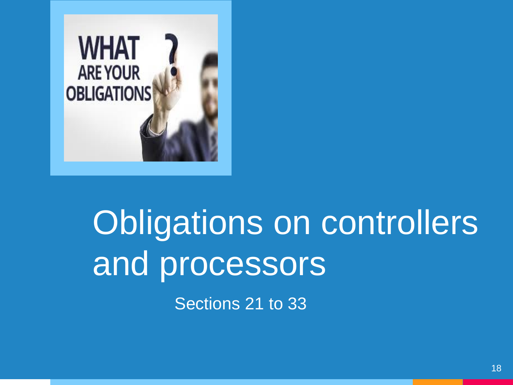

# Obligations on controllers and processors

Sections 21 to 33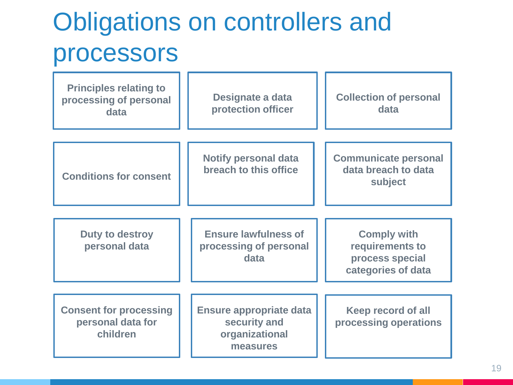#### Obligations on controllers and processors

| <b>Principles relating to</b><br>processing of personal<br>data | Designate a data<br>protection officer                                       | <b>Collection of personal</b><br>data                                          |
|-----------------------------------------------------------------|------------------------------------------------------------------------------|--------------------------------------------------------------------------------|
| <b>Conditions for consent</b>                                   | <b>Notify personal data</b><br>breach to this office                         | <b>Communicate personal</b><br>data breach to data<br>subject                  |
| Duty to destroy<br>personal data                                | <b>Ensure lawfulness of</b><br>processing of personal<br>data                | <b>Comply with</b><br>requirements to<br>process special<br>categories of data |
| <b>Consent for processing</b><br>personal data for<br>children  | <b>Ensure appropriate data</b><br>security and<br>organizational<br>measures | Keep record of all<br>processing operations                                    |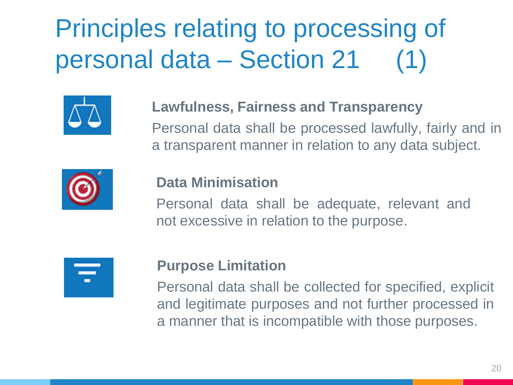### Principles relating to processing of personal data – Section 21



#### **Lawfulness, Fairness and Transparency**

Personal data shall be processed lawfully, fairly and in a transparent manner in relation to any data subject.



#### **Data Minimisation**

Personal data shall be adequate, relevant and not excessive in relation to the purpose.

| $\mathcal{L}(\mathcal{L})$ and $\mathcal{L}(\mathcal{L})$ and $\mathcal{L}(\mathcal{L})$ and $\mathcal{L}(\mathcal{L})$ and $\mathcal{L}(\mathcal{L})$ |
|--------------------------------------------------------------------------------------------------------------------------------------------------------|
|                                                                                                                                                        |
|                                                                                                                                                        |

#### **Purpose Limitation**

Personal data shall be collected for specified, explicit and legitimate purposes and not further processed in a manner that is incompatible with those purposes.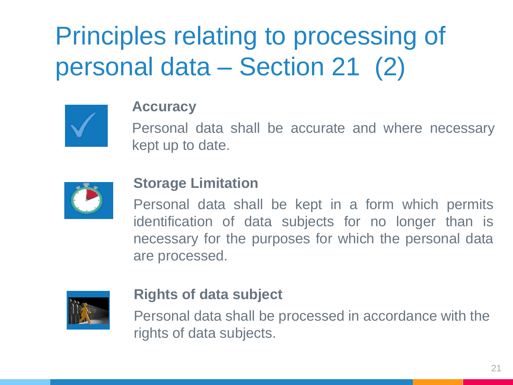### Principles relating to processing of personal data – Section 21 (2)



#### **Accuracy**

Personal data shall be accurate and where necessary kept up to date.



#### **Storage Limitation**

Personal data shall be kept in a form which permits identification of data subjects for no longer than is necessary for the purposes for which the personal data are processed.



#### **Rights of data subject**

Personal data shall be processed in accordance with the rights of data subjects.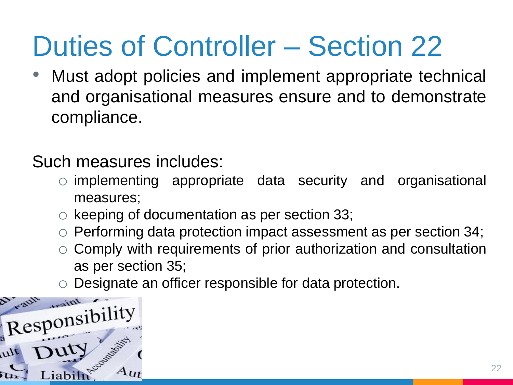### Duties of Controller – Section 22

• Must adopt policies and implement appropriate technical and organisational measures ensure and to demonstrate compliance.

Such measures includes:

- o implementing appropriate data security and organisational measures;
- o keeping of documentation as per section 33;
- o Performing data protection impact assessment as per section 34;
- Comply with requirements of prior authorization and consultation as per section 35;
- Designate an officer responsible for data protection.

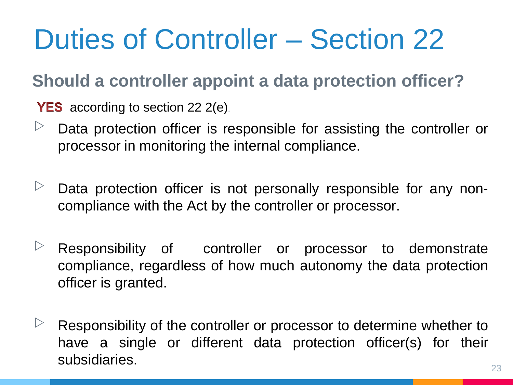### Duties of Controller – Section 22

#### **Should a controller appoint a data protection officer?**

**YES** according to section 22  $2(e)$ .

- $\triangleright$  Data protection officer is responsible for assisting the controller or processor in monitoring the internal compliance.
- $\triangleright$  Data protection officer is not personally responsible for any noncompliance with the Act by the controller or processor.
- $\triangleright$  Responsibility of controller or processor to demonstrate compliance, regardless of how much autonomy the data protection officer is granted.
- $\triangleright$  Responsibility of the controller or processor to determine whether to have a single or different data protection officer(s) for their subsidiaries.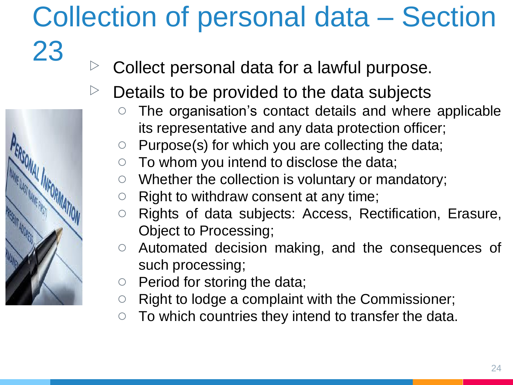### Collection of personal data – Section

- $23$   $\triangleright$  Collect personal data for a lawful purpose.
	- Details to be provided to the data subjects
		- The organisation's contact details and where applicable its representative and any data protection officer;
		- $\circ$  Purpose(s) for which you are collecting the data;
		- $\circ$  To whom you intend to disclose the data;
		- Whether the collection is voluntary or mandatory;
		- Right to withdraw consent at any time;
		- Rights of data subjects: Access, Rectification, Erasure, Object to Processing;
		- Automated decision making, and the consequences of such processing;
		- Period for storing the data;
		- Right to lodge a complaint with the Commissioner;
		- $\circ$  To which countries they intend to transfer the data.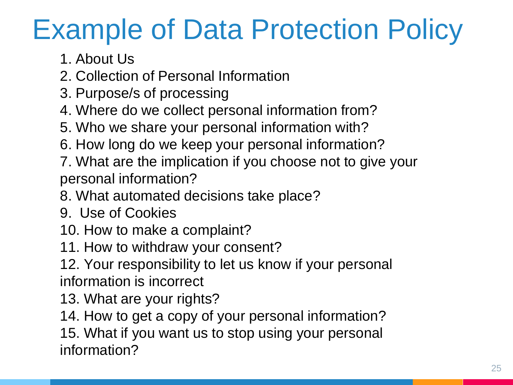### Example of Data Protection Policy

1. About Us

- 2. Collection of Personal Information
- 3. Purpose/s of processing
- 4. Where do we collect personal information from?
- 5. Who we share your personal information with?
- 6. How long do we keep your personal information?
- 7. What are the implication if you choose not to give your personal information?
- 8. What automated decisions take place?
- 9. Use of Cookies
- 10. How to make a complaint?
- 11. How to withdraw your consent?
- 12. Your responsibility to let us know if your personal information is incorrect
- 13. What are your rights?
- 14. How to get a copy of your personal information?

15. What if you want us to stop using your personal information?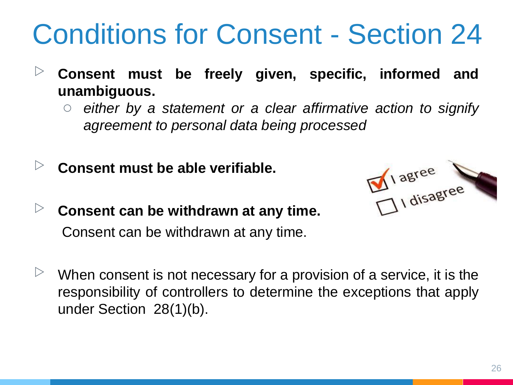### Conditions for Consent - Section 24

- ▷ **Consent must be freely given, specific, informed and unambiguous.**
	- *either by a statement or a clear affirmative action to signify agreement to personal data being processed*
- ▷ **Consent must be able verifiable.**
- ▷ **Consent can be withdrawn at any time.** Consent can be withdrawn at any time.



When consent is not necessary for a provision of a service, it is the responsibility of controllers to determine the exceptions that apply under Section 28(1)(b).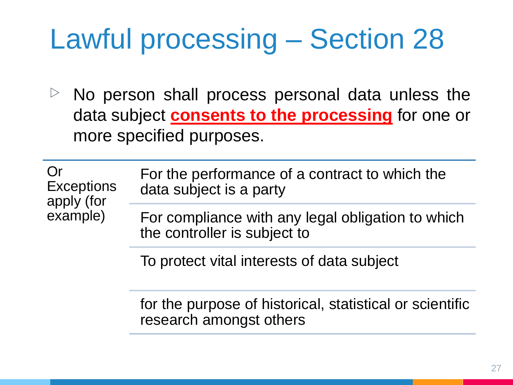### Lawful processing – Section 28

 $\triangleright$  No person shall process personal data unless the data subject **consents to the processing** for one or more specified purposes.

Or

example)

**Exceptions** apply (for For the performance of a contract to which the data subject is a party

> For compliance with any legal obligation to which the controller is subject to

To protect vital interests of data subject

for the purpose of historical, statistical or scientific research amongst others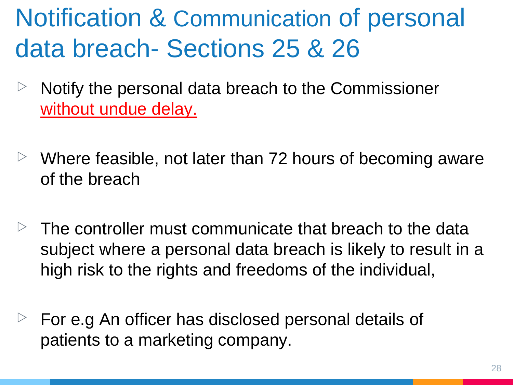#### Notification & Communication of personal data breach- Sections 25 & 26

- $\triangleright$  Notify the personal data breach to the Commissioner without undue delay.
- $\triangleright$  Where feasible, not later than 72 hours of becoming aware of the breach
- The controller must communicate that breach to the data subject where a personal data breach is likely to result in a high risk to the rights and freedoms of the individual,
- For e.g An officer has disclosed personal details of patients to a marketing company.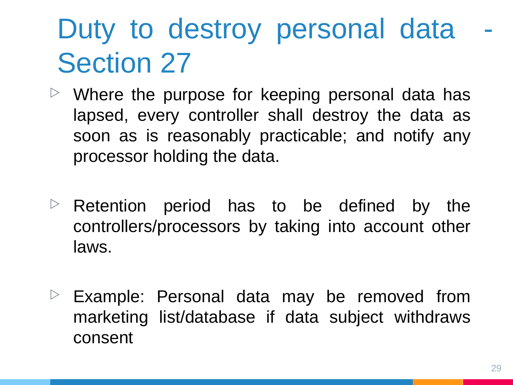### Duty to destroy personal data Section 27

- $\triangleright$  Where the purpose for keeping personal data has lapsed, every controller shall destroy the data as soon as is reasonably practicable; and notify any processor holding the data.
- $\triangleright$  Retention period has to be defined by the controllers/processors by taking into account other laws.
- $\triangleright$  Example: Personal data may be removed from marketing list/database if data subject withdraws consent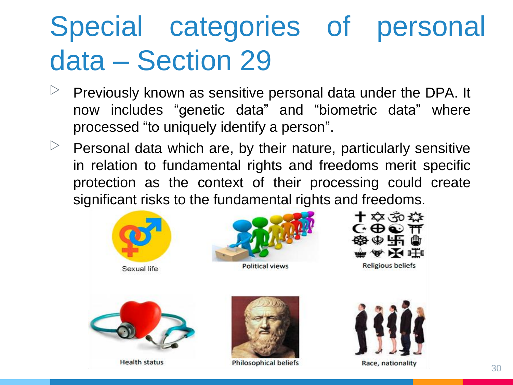### Special categories of personal data – Section 29

- $\triangleright$  Previously known as sensitive personal data under the DPA. It now includes "genetic data" and "biometric data" where processed "to uniquely identify a person".
- $\triangleright$  Personal data which are, by their nature, particularly sensitive in relation to fundamental rights and freedoms merit specific protection as the context of their processing could create significant risks to the fundamental rights and freedoms.

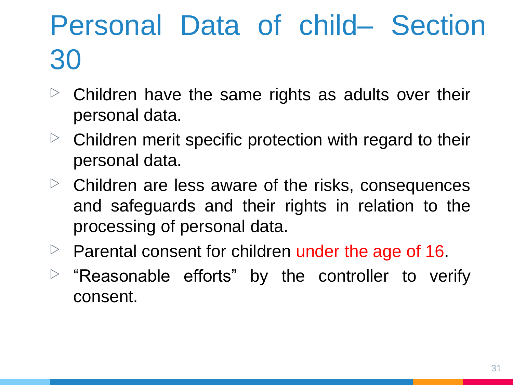### Personal Data of child– Section 30

- $\triangleright$  Children have the same rights as adults over their personal data.
- $\triangleright$  Children merit specific protection with regard to their personal data.
- $\triangleright$  Children are less aware of the risks, consequences and safeguards and their rights in relation to the processing of personal data.
- $\triangleright$  Parental consent for children under the age of 16.
- $\triangleright$  "Reasonable efforts" by the controller to verify consent.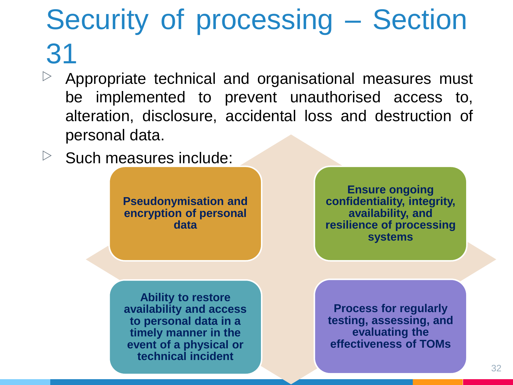### Security of processing – Section 31

- $\triangleright$  Appropriate technical and organisational measures must be implemented to prevent unauthorised access to, alteration, disclosure, accidental loss and destruction of personal data.
- $\triangleright$  Such measures include:

**Pseudonymisation and encryption of personal data**

**Ensure ongoing confidentiality, integrity, availability, and resilience of processing systems**

**Ability to restore availability and access to personal data in a timely manner in the event of a physical or technical incident**

**Process for regularly testing, assessing, and evaluating the effectiveness of TOMs**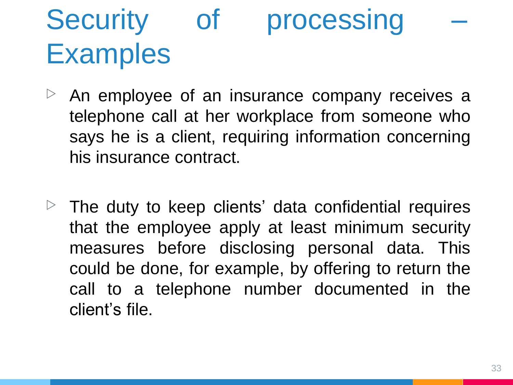### Security of processing **Examples**

- An employee of an insurance company receives a telephone call at her workplace from someone who says he is a client, requiring information concerning his insurance contract.
- $\triangleright$  The duty to keep clients' data confidential requires that the employee apply at least minimum security measures before disclosing personal data. This could be done, for example, by offering to return the call to a telephone number documented in the client's file.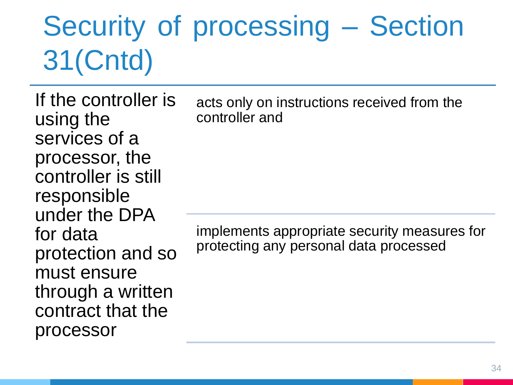### Security of processing – Section 31(Cntd)

If the controller is using the services of a processor, the controller is still responsible under the DPA for data protection and so must ensure through a written contract that the processor

acts only on instructions received from the controller and

implements appropriate security measures for protecting any personal data processed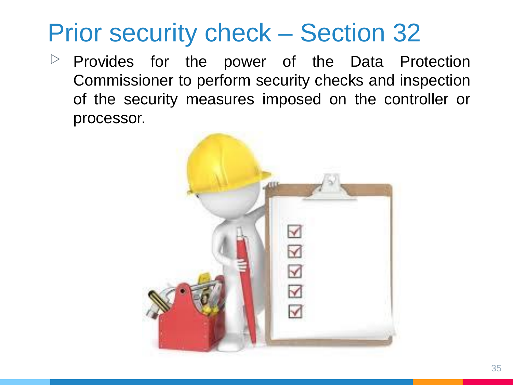#### Prior security check – Section 32

 $\triangleright$  Provides for the power of the Data Protection Commissioner to perform security checks and inspection of the security measures imposed on the controller or processor.

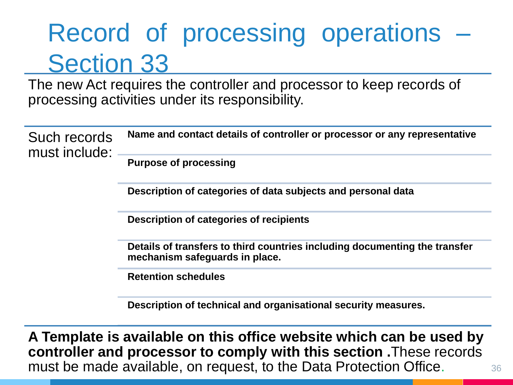#### Record of processing operations – Section 33

The new Act requires the controller and processor to keep records of processing activities under its responsibility.

| Such records<br>must include: | Name and contact details of controller or processor or any representative                                    |
|-------------------------------|--------------------------------------------------------------------------------------------------------------|
|                               | <b>Purpose of processing</b>                                                                                 |
|                               | Description of categories of data subjects and personal data                                                 |
|                               | Description of categories of recipients                                                                      |
|                               | Details of transfers to third countries including documenting the transfer<br>mechanism safeguards in place. |
|                               | <b>Retention schedules</b>                                                                                   |
|                               | Description of technical and organisational security measures.                                               |

**A Template is available on this office website which can be used by controller and processor to comply with this section .**These records must be made available, on request, to the Data Protection Office.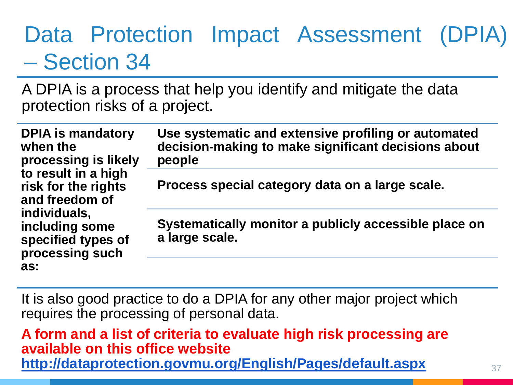#### Data Protection Impact Assessment (DPIA) – Section 34

A DPIA is a process that help you identify and mitigate the data protection risks of a project.

| <b>DPIA</b> is mandatory<br>when the<br>processing is likely<br>to result in a high<br>risk for the rights<br>and freedom of | Use systematic and extensive profiling or automated<br>decision-making to make significant decisions about<br>people |
|------------------------------------------------------------------------------------------------------------------------------|----------------------------------------------------------------------------------------------------------------------|
|                                                                                                                              | Process special category data on a large scale.                                                                      |
| individuals,<br>including some<br>specified types of<br>processing such                                                      | Systematically monitor a publicly accessible place on<br>a large scale.                                              |
| as:                                                                                                                          |                                                                                                                      |

It is also good practice to do a DPIA for any other major project which requires the processing of personal data.

**A form and a list of criteria to evaluate high risk processing are available on this office website <http://dataprotection.govmu.org/English/Pages/default.aspx>**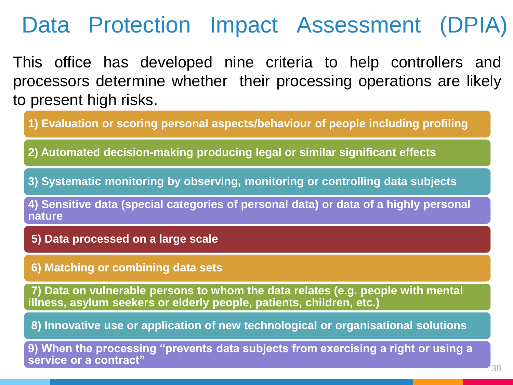#### Data Protection Impact Assessment (DPIA)

This office has developed nine criteria to help controllers and processors determine whether their processing operations are likely to present high risks.

**1) Evaluation or scoring personal aspects/behaviour of people including profiling**

**2) Automated decision-making producing legal or similar significant effects**

**3) Systematic monitoring by observing, monitoring or controlling data subjects** 

**4) Sensitive data (special categories of personal data) or data of a highly personal nature** 

**5) Data processed on a large scale** 

**6) Matching or combining data sets** 

**7) Data on vulnerable persons to whom the data relates (e.g. people with mental illness, asylum seekers or elderly people, patients, children, etc.)** 

**8) Innovative use or application of new technological or organisational solutions** 

**9) When the processing "prevents data subjects from exercising a right or using a service or a contract"**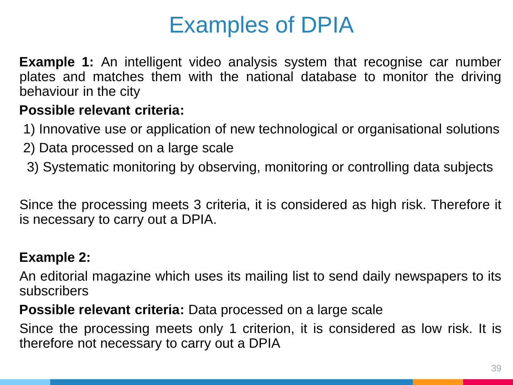#### Examples of DPIA

**Example 1:** An intelligent video analysis system that recognise car number plates and matches them with the national database to monitor the driving behaviour in the city

#### **Possible relevant criteria:**

- 1) Innovative use or application of new technological or organisational solutions
- 2) Data processed on a large scale
- 3) Systematic monitoring by observing, monitoring or controlling data subjects

Since the processing meets 3 criteria, it is considered as high risk. Therefore it is necessary to carry out a DPIA.

#### **Example 2:**

An editorial magazine which uses its mailing list to send daily newspapers to its subscribers

**Possible relevant criteria:** Data processed on a large scale

Since the processing meets only 1 criterion, it is considered as low risk. It is therefore not necessary to carry out a DPIA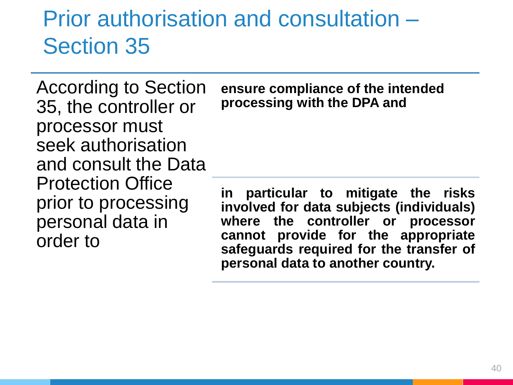#### Prior authorisation and consultation – Section 35

According to Section 35, the controller or processor must seek authorisation and consult the Data Protection Office prior to processing personal data in order to

**ensure compliance of the intended processing with the DPA and** 

**in particular to mitigate the risks involved for data subjects (individuals) where the controller or processor cannot provide for the appropriate safeguards required for the transfer of personal data to another country.**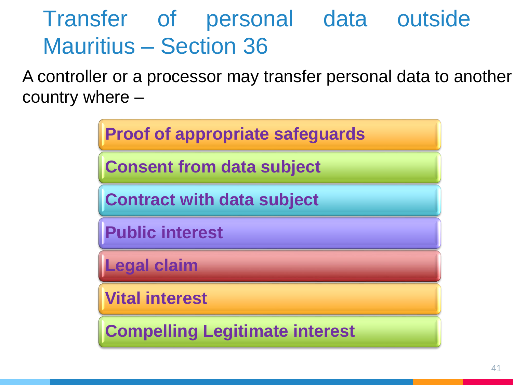#### Transfer of personal data outside Mauritius – Section 36

A controller or a processor may transfer personal data to another country where –

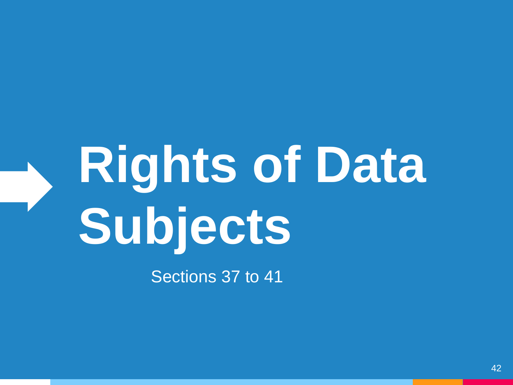# **Rights of Data Subjects**

Sections 37 to 41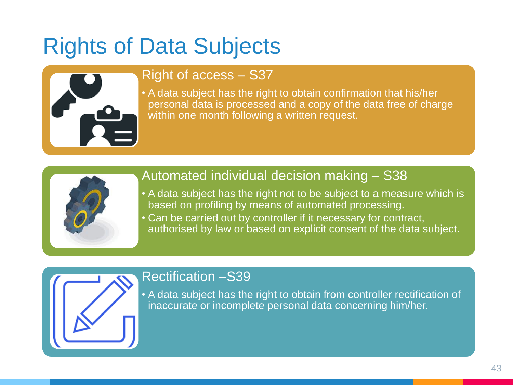#### Rights of Data Subjects



#### Right of access – S37

• A data subject has the right to obtain confirmation that his/her personal data is processed and a copy of the data free of charge within one month following a written request.



#### Automated individual decision making – S38

- A data subject has the right not to be subject to a measure which is based on profiling by means of automated processing.
- Can be carried out by controller if it necessary for contract, authorised by law or based on explicit consent of the data subject.



#### Rectification –S39

• A data subject has the right to obtain from controller rectification of inaccurate or incomplete personal data concerning him/her.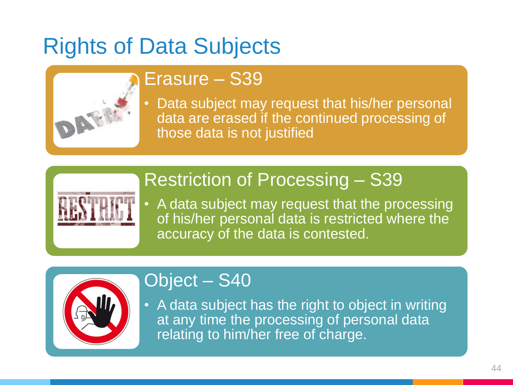#### Rights of Data Subjects



#### Erasure – S39

• Data subject may request that his/her personal data are erased if the continued processing of those data is not justified

#### Restriction of Processing – S39



• A data subject may request that the processing of his/her personal data is restricted where the accuracy of the data is contested.



#### Object – S40

• A data subject has the right to object in writing at any time the processing of personal data relating to him/her free of charge.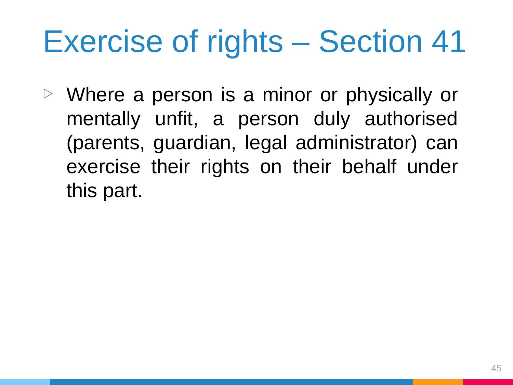# Exercise of rights – Section 41

▷ Where a person is a minor or physically or mentally unfit, a person duly authorised (parents, guardian, legal administrator) can exercise their rights on their behalf under this part.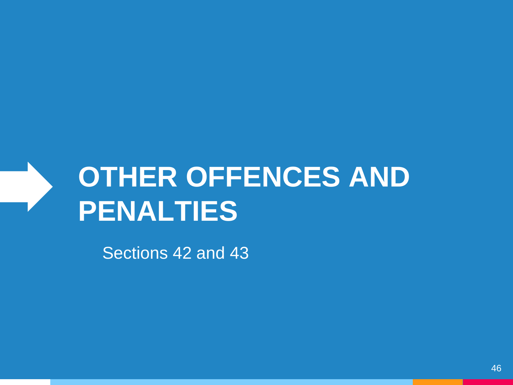

Sections 42 and 43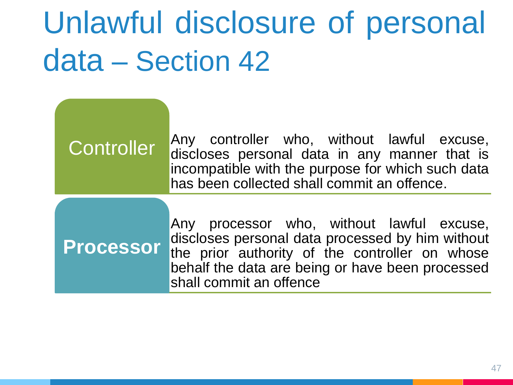# Unlawful disclosure of personal data – Section 42

#### Any controller who, without lawful excuse, discloses personal data in any manner that is incompatible with the purpose for which such data has been collected shall commit an offence. **Controller** Any processor who, without lawful excuse, discloses personal data processed by him without the prior authority of the controller on whose behalf the data are being or have been processed shall commit an offence **Processor**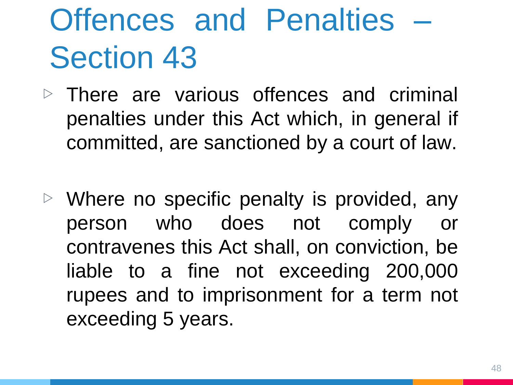# Offences and Penalties – Section 43

- $\triangleright$  There are various offences and criminal penalties under this Act which, in general if committed, are sanctioned by a court of law.
- $\triangleright$  Where no specific penalty is provided, any person who does not comply or contravenes this Act shall, on conviction, be liable to a fine not exceeding 200,000 rupees and to imprisonment for a term not exceeding 5 years.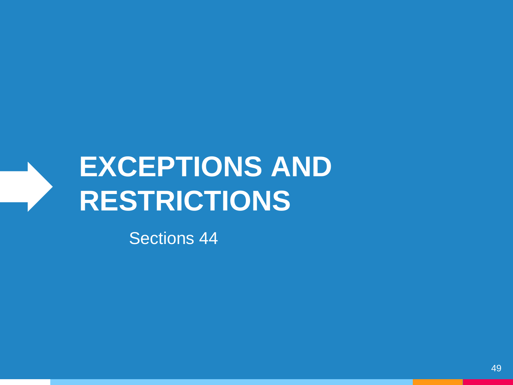### **EXCEPTIONS AND RESTRICTIONS**

Sections 44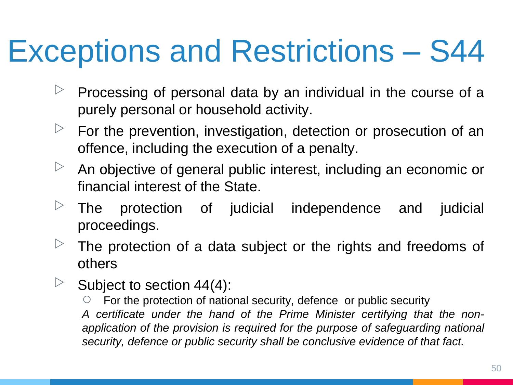## Exceptions and Restrictions – S44

- $\triangleright$  Processing of personal data by an individual in the course of a purely personal or household activity.
- $\triangleright$  For the prevention, investigation, detection or prosecution of an offence, including the execution of a penalty.
- $\triangleright$  An objective of general public interest, including an economic or financial interest of the State.
- $\triangleright$  The protection of judicial independence and judicial proceedings.
- The protection of a data subject or the rights and freedoms of others
- $\triangleright$  Subject to section 44(4):

For the protection of national security, defence or public security *A certificate under the hand of the Prime Minister certifying that the nonapplication of the provision is required for the purpose of safeguarding national security, defence or public security shall be conclusive evidence of that fact.*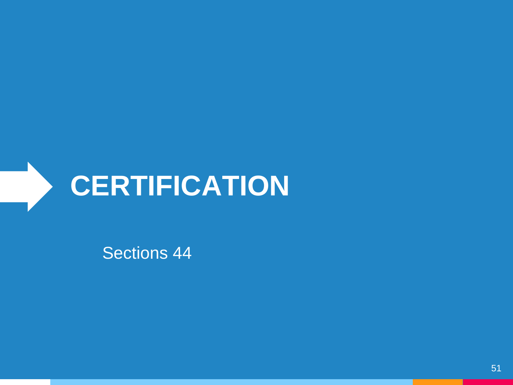

Sections 44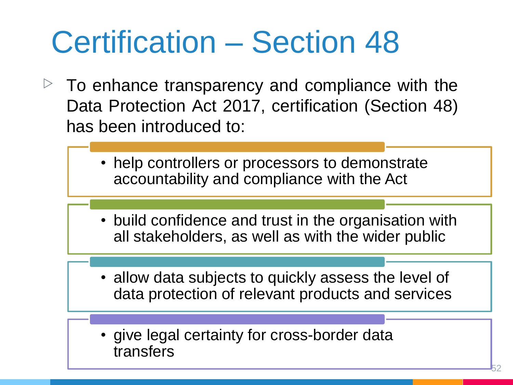# Certification – Section 48

- $\triangleright$  To enhance transparency and compliance with the Data Protection Act 2017, certification (Section 48) has been introduced to:
	- help controllers or processors to demonstrate accountability and compliance with the Act
	- build confidence and trust in the organisation with all stakeholders, as well as with the wider public
	- allow data subjects to quickly assess the level of data protection of relevant products and services
	- give legal certainty for cross-border data transfers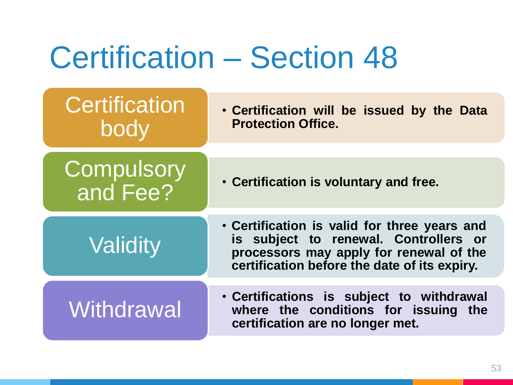### Certification – Section 48

| • Certification will be issued by the Data<br><b>Protection Office.</b>                                                          |
|----------------------------------------------------------------------------------------------------------------------------------|
|                                                                                                                                  |
| • Certification is voluntary and free.                                                                                           |
| • Certification is valid for three years and                                                                                     |
| is subject to renewal. Controllers or<br>processors may apply for renewal of the<br>certification before the date of its expiry. |
|                                                                                                                                  |
| • Certifications is subject to withdrawal<br>where the conditions for issuing the<br>certification are no longer met.            |
|                                                                                                                                  |